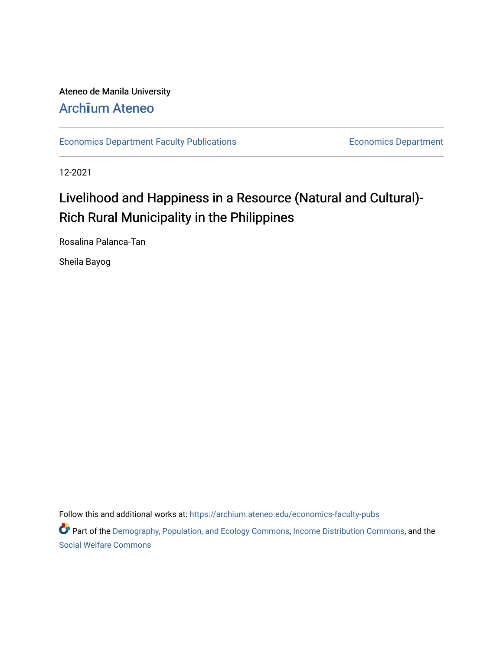# Ateneo de Manila University

# Arch**ī**[um Ateneo](https://archium.ateneo.edu/)

[Economics Department Faculty Publications](https://archium.ateneo.edu/economics-faculty-pubs) **Economics Department** Economics Department

12-2021

# Livelihood and Happiness in a Resource (Natural and Cultural)- Rich Rural Municipality in the Philippines

Rosalina Palanca-Tan

Sheila Bayog

Follow this and additional works at: [https://archium.ateneo.edu/economics-faculty-pubs](https://archium.ateneo.edu/economics-faculty-pubs?utm_source=archium.ateneo.edu%2Feconomics-faculty-pubs%2F161&utm_medium=PDF&utm_campaign=PDFCoverPages)

Part of the [Demography, Population, and Ecology Commons,](http://network.bepress.com/hgg/discipline/418?utm_source=archium.ateneo.edu%2Feconomics-faculty-pubs%2F161&utm_medium=PDF&utm_campaign=PDFCoverPages) [Income Distribution Commons,](http://network.bepress.com/hgg/discipline/1269?utm_source=archium.ateneo.edu%2Feconomics-faculty-pubs%2F161&utm_medium=PDF&utm_campaign=PDFCoverPages) and the [Social Welfare Commons](http://network.bepress.com/hgg/discipline/401?utm_source=archium.ateneo.edu%2Feconomics-faculty-pubs%2F161&utm_medium=PDF&utm_campaign=PDFCoverPages)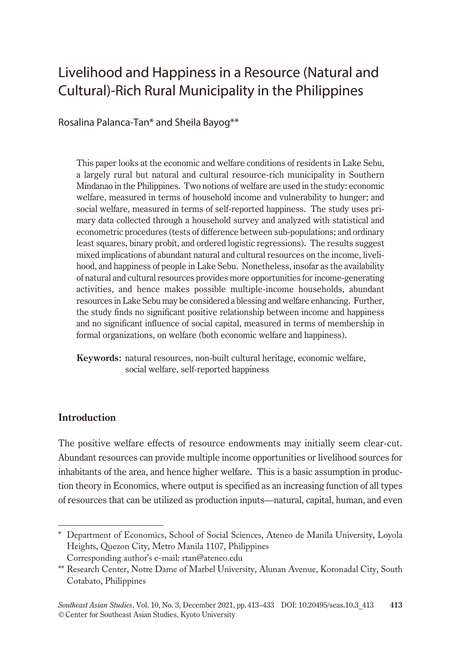# Livelihood and Happiness in a Resource (Natural and Cultural)-Rich Rural Municipality in the Philippines

Rosalina Palanca-Tan\* and Sheila Bayog\*\*

This paper looks at the economic and welfare conditions of residents in Lake Sebu, a largely rural but natural and cultural resource-rich municipality in Southern Mindanao in the Philippines. Two notions of welfare are used in the study: economic welfare, measured in terms of household income and vulnerability to hunger; and social welfare, measured in terms of self-reported happiness. The study uses primary data collected through a household survey and analyzed with statistical and econometric procedures (tests of difference between sub-populations; and ordinary least squares, binary probit, and ordered logistic regressions). The results suggest mixed implications of abundant natural and cultural resources on the income, livelihood, and happiness of people in Lake Sebu. Nonetheless, insofar as the availability of natural and cultural resources provides more opportunities for income-generating activities, and hence makes possible multiple-income households, abundant resources in Lake Sebu may be considered a blessing and welfare enhancing. Further, the study finds no significant positive relationship between income and happiness and no significant influence of social capital, measured in terms of membership in formal organizations, on welfare (both economic welfare and happiness).

**Keywords:** natural resources, non-built cultural heritage, economic welfare, social welfare, self-reported happiness

# **Introduction**

The positive welfare effects of resource endowments may initially seem clear-cut. Abundant resources can provide multiple income opportunities or livelihood sources for inhabitants of the area, and hence higher welfare. This is a basic assumption in production theory in Economics, where output is specified as an increasing function of all types of resources that can be utilized as production inputs—natural, capital, human, and even

<sup>\*</sup> Department of Economics, School of Social Sciences, Ateneo de Manila University, Loyola Heights, Quezon City, Metro Manila 1107, Philippines Corresponding author's e-mail: rtan@ateneo.edu

<sup>\*\*</sup> Research Center, Notre Dame of Marbel University, Alunan Avenue, Koronadal City, South Cotabato, Philippines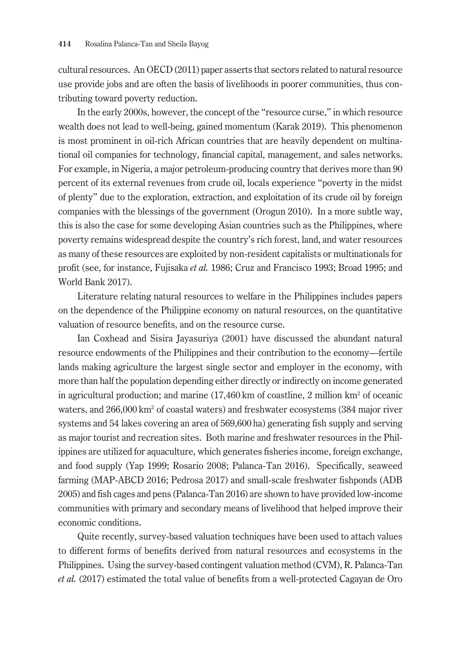cultural resources. An OECD (2011) paper asserts that sectors related to natural resource use provide jobs and are often the basis of livelihoods in poorer communities, thus contributing toward poverty reduction.

In the early 2000s, however, the concept of the "resource curse," in which resource wealth does not lead to well-being, gained momentum (Karak 2019). This phenomenon is most prominent in oil-rich African countries that are heavily dependent on multinational oil companies for technology, financial capital, management, and sales networks. For example, in Nigeria, a major petroleum-producing country that derives more than 90 percent of its external revenues from crude oil, locals experience "poverty in the midst of plenty" due to the exploration, extraction, and exploitation of its crude oil by foreign companies with the blessings of the government (Orogun 2010). In a more subtle way, this is also the case for some developing Asian countries such as the Philippines, where poverty remains widespread despite the country's rich forest, land, and water resources as many of these resources are exploited by non-resident capitalists or multinationals for profit (see, for instance, Fujisaka *et al.* 1986; Cruz and Francisco 1993; Broad 1995; and World Bank 2017).

Literature relating natural resources to welfare in the Philippines includes papers on the dependence of the Philippine economy on natural resources, on the quantitative valuation of resource benefits, and on the resource curse.

Ian Coxhead and Sisira Jayasuriya (2001) have discussed the abundant natural resource endowments of the Philippines and their contribution to the economy—fertile lands making agriculture the largest single sector and employer in the economy, with more than half the population depending either directly or indirectly on income generated in agricultural production; and marine (17,460 km of coastline, 2 million km<sup>2</sup> of oceanic waters, and 266,000 km<sup>2</sup> of coastal waters) and freshwater ecosystems (384 major river systems and 54 lakes covering an area of 569,600 ha) generating fish supply and serving as major tourist and recreation sites. Both marine and freshwater resources in the Philippines are utilized for aquaculture, which generates fisheries income, foreign exchange, and food supply (Yap 1999; Rosario 2008; Palanca-Tan 2016). Specifically, seaweed farming (MAP-ABCD 2016; Pedrosa 2017) and small-scale freshwater fishponds (ADB 2005) and fish cages and pens (Palanca-Tan 2016) are shown to have provided low-income communities with primary and secondary means of livelihood that helped improve their economic conditions.

Quite recently, survey-based valuation techniques have been used to attach values to different forms of benefits derived from natural resources and ecosystems in the Philippines. Using the survey-based contingent valuation method (CVM), R. Palanca-Tan *et al.* (2017) estimated the total value of benefits from a well-protected Cagayan de Oro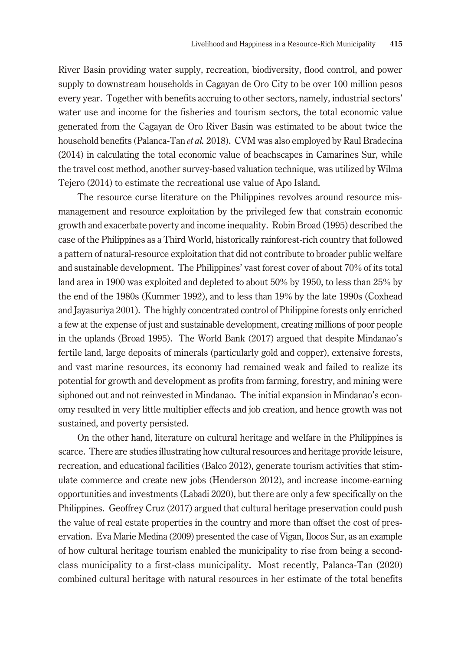River Basin providing water supply, recreation, biodiversity, flood control, and power supply to downstream households in Cagayan de Oro City to be over 100 million pesos every year. Together with benefits accruing to other sectors, namely, industrial sectors' water use and income for the fisheries and tourism sectors, the total economic value generated from the Cagayan de Oro River Basin was estimated to be about twice the household benefits (Palanca-Tan *et al.* 2018). CVM was also employed by Raul Bradecina (2014) in calculating the total economic value of beachscapes in Camarines Sur, while the travel cost method, another survey-based valuation technique, was utilized by Wilma Tejero (2014) to estimate the recreational use value of Apo Island.

The resource curse literature on the Philippines revolves around resource mismanagement and resource exploitation by the privileged few that constrain economic growth and exacerbate poverty and income inequality. Robin Broad (1995) described the case of the Philippines as a Third World, historically rainforest-rich country that followed a pattern of natural-resource exploitation that did not contribute to broader public welfare and sustainable development. The Philippines' vast forest cover of about 70% of its total land area in 1900 was exploited and depleted to about 50% by 1950, to less than 25% by the end of the 1980s (Kummer 1992), and to less than 19% by the late 1990s (Coxhead and Jayasuriya 2001). The highly concentrated control of Philippine forests only enriched a few at the expense of just and sustainable development, creating millions of poor people in the uplands (Broad 1995). The World Bank (2017) argued that despite Mindanao's fertile land, large deposits of minerals (particularly gold and copper), extensive forests, and vast marine resources, its economy had remained weak and failed to realize its potential for growth and development as profits from farming, forestry, and mining were siphoned out and not reinvested in Mindanao. The initial expansion in Mindanao's economy resulted in very little multiplier effects and job creation, and hence growth was not sustained, and poverty persisted.

On the other hand, literature on cultural heritage and welfare in the Philippines is scarce. There are studies illustrating how cultural resources and heritage provide leisure, recreation, and educational facilities (Balco 2012), generate tourism activities that stimulate commerce and create new jobs (Henderson 2012), and increase income-earning opportunities and investments (Labadi 2020), but there are only a few specifically on the Philippines. Geoffrey Cruz (2017) argued that cultural heritage preservation could push the value of real estate properties in the country and more than offset the cost of preservation. Eva Marie Medina (2009) presented the case of Vigan, Ilocos Sur, as an example of how cultural heritage tourism enabled the municipality to rise from being a secondclass municipality to a first-class municipality. Most recently, Palanca-Tan (2020) combined cultural heritage with natural resources in her estimate of the total benefits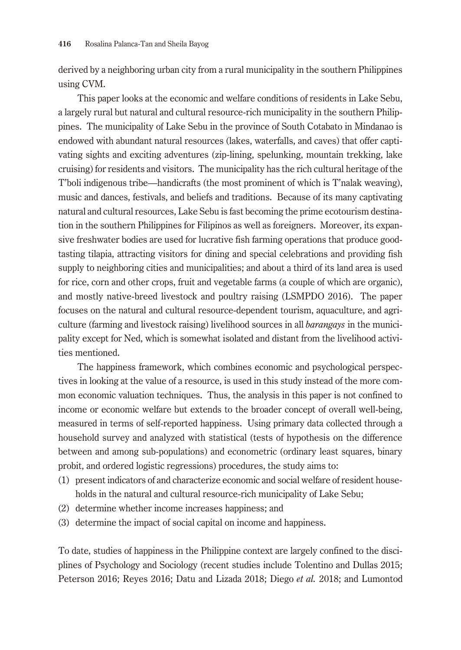derived by a neighboring urban city from a rural municipality in the southern Philippines using CVM.

This paper looks at the economic and welfare conditions of residents in Lake Sebu, a largely rural but natural and cultural resource-rich municipality in the southern Philippines. The municipality of Lake Sebu in the province of South Cotabato in Mindanao is endowed with abundant natural resources (lakes, waterfalls, and caves) that offer captivating sights and exciting adventures (zip-lining, spelunking, mountain trekking, lake cruising) for residents and visitors. The municipality has the rich cultural heritage of the T'boli indigenous tribe—handicrafts (the most prominent of which is T'nalak weaving), music and dances, festivals, and beliefs and traditions. Because of its many captivating natural and cultural resources, Lake Sebu is fast becoming the prime ecotourism destination in the southern Philippines for Filipinos as well as foreigners. Moreover, its expansive freshwater bodies are used for lucrative fish farming operations that produce goodtasting tilapia, attracting visitors for dining and special celebrations and providing fish supply to neighboring cities and municipalities; and about a third of its land area is used for rice, corn and other crops, fruit and vegetable farms (a couple of which are organic), and mostly native-breed livestock and poultry raising (LSMPDO 2016). The paper focuses on the natural and cultural resource-dependent tourism, aquaculture, and agriculture (farming and livestock raising) livelihood sources in all *barangays* in the municipality except for Ned, which is somewhat isolated and distant from the livelihood activities mentioned.

The happiness framework, which combines economic and psychological perspectives in looking at the value of a resource, is used in this study instead of the more common economic valuation techniques. Thus, the analysis in this paper is not confined to income or economic welfare but extends to the broader concept of overall well-being, measured in terms of self-reported happiness. Using primary data collected through a household survey and analyzed with statistical (tests of hypothesis on the difference between and among sub-populations) and econometric (ordinary least squares, binary probit, and ordered logistic regressions) procedures, the study aims to:

- (1) present indicators of and characterize economic and social welfare of resident households in the natural and cultural resource-rich municipality of Lake Sebu;
- (2) determine whether income increases happiness; and
- (3) determine the impact of social capital on income and happiness.

To date, studies of happiness in the Philippine context are largely confined to the disciplines of Psychology and Sociology (recent studies include Tolentino and Dullas 2015; Peterson 2016; Reyes 2016; Datu and Lizada 2018; Diego *et al.* 2018; and Lumontod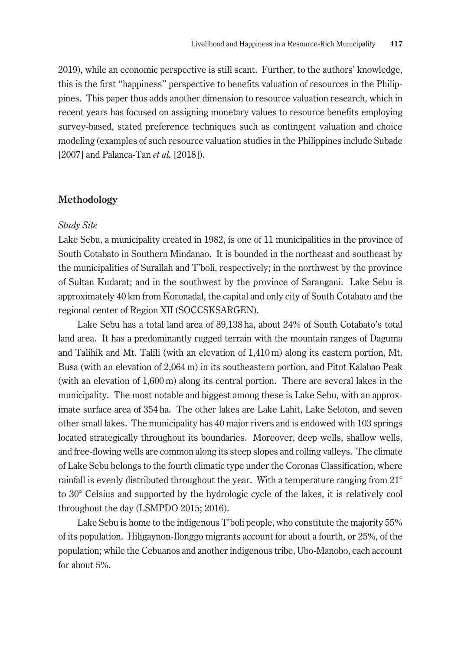2019), while an economic perspective is still scant. Further, to the authors' knowledge, this is the first "happiness" perspective to benefits valuation of resources in the Philippines. This paper thus adds another dimension to resource valuation research, which in recent years has focused on assigning monetary values to resource benefits employing survey-based, stated preference techniques such as contingent valuation and choice modeling (examples of such resource valuation studies in the Philippines include Subade [2007] and Palanca-Tan *et al.* [2018]).

# **Methodology**

#### *Study Site*

Lake Sebu, a municipality created in 1982, is one of 11 municipalities in the province of South Cotabato in Southern Mindanao. It is bounded in the northeast and southeast by the municipalities of Surallah and T'boli, respectively; in the northwest by the province of Sultan Kudarat; and in the southwest by the province of Sarangani. Lake Sebu is approximately 40 km from Koronadal, the capital and only city of South Cotabato and the regional center of Region XII (SOCCSKSARGEN).

Lake Sebu has a total land area of 89,138 ha, about 24% of South Cotabato's total land area. It has a predominantly rugged terrain with the mountain ranges of Daguma and Talihik and Mt. Talili (with an elevation of 1,410 m) along its eastern portion, Mt. Busa (with an elevation of 2,064 m) in its southeastern portion, and Pitot Kalabao Peak (with an elevation of 1,600 m) along its central portion. There are several lakes in the municipality. The most notable and biggest among these is Lake Sebu, with an approximate surface area of 354 ha. The other lakes are Lake Lahit, Lake Seloton, and seven other small lakes. The municipality has 40 major rivers and is endowed with 103 springs located strategically throughout its boundaries. Moreover, deep wells, shallow wells, and free-flowing wells are common along its steep slopes and rolling valleys. The climate of Lake Sebu belongs to the fourth climatic type under the Coronas Classification, where rainfall is evenly distributed throughout the year. With a temperature ranging from 21° to 30° Celsius and supported by the hydrologic cycle of the lakes, it is relatively cool throughout the day (LSMPDO 2015; 2016).

Lake Sebu is home to the indigenous T'boli people, who constitute the majority 55% of its population. Hiligaynon-Ilonggo migrants account for about a fourth, or 25%, of the population; while the Cebuanos and another indigenous tribe, Ubo-Manobo, each account for about 5%.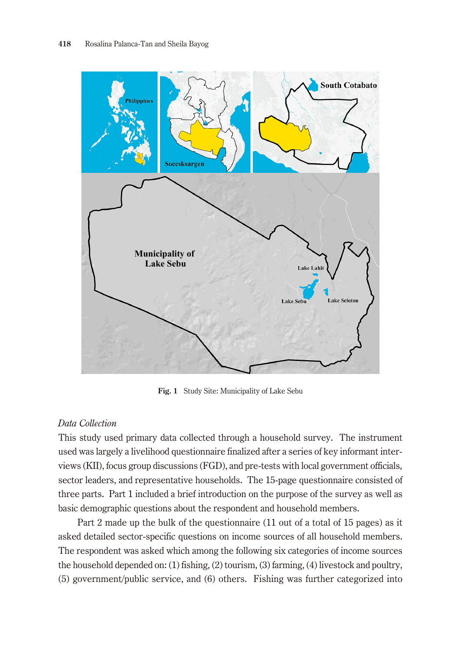

**Fig. 1** Study Site: Municipality of Lake Sebu

# *Data Collection*

This study used primary data collected through a household survey. The instrument used was largely a livelihood questionnaire finalized after a series of key informant interviews (KII), focus group discussions (FGD), and pre-tests with local government officials, sector leaders, and representative households. The 15-page questionnaire consisted of three parts. Part 1 included a brief introduction on the purpose of the survey as well as basic demographic questions about the respondent and household members.

Part 2 made up the bulk of the questionnaire (11 out of a total of 15 pages) as it asked detailed sector-specific questions on income sources of all household members. The respondent was asked which among the following six categories of income sources the household depended on: (1) fishing, (2) tourism, (3) farming, (4) livestock and poultry, (5) government/public service, and (6) others. Fishing was further categorized into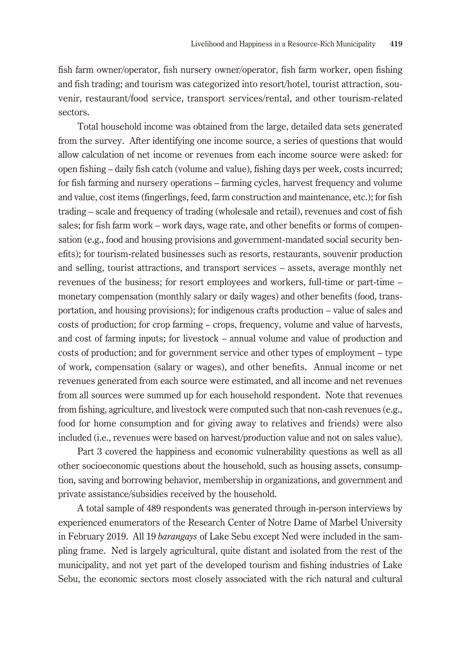fish farm owner/operator, fish nursery owner/operator, fish farm worker, open fishing and fish trading; and tourism was categorized into resort/hotel, tourist attraction, souvenir, restaurant/food service, transport services/rental, and other tourism-related sectors.

Total household income was obtained from the large, detailed data sets generated from the survey. After identifying one income source, a series of questions that would allow calculation of net income or revenues from each income source were asked: for open fishing – daily fish catch (volume and value), fishing days per week, costs incurred; for fish farming and nursery operations – farming cycles, harvest frequency and volume and value, cost items (fingerlings, feed, farm construction and maintenance, etc.); for fish trading – scale and frequency of trading (wholesale and retail), revenues and cost of fish sales; for fish farm work – work days, wage rate, and other benefits or forms of compensation (e.g., food and housing provisions and government-mandated social security benefits); for tourism-related businesses such as resorts, restaurants, souvenir production and selling, tourist attractions, and transport services – assets, average monthly net revenues of the business; for resort employees and workers, full-time or part-time – monetary compensation (monthly salary or daily wages) and other benefits (food, transportation, and housing provisions); for indigenous crafts production – value of sales and costs of production; for crop farming – crops, frequency, volume and value of harvests, and cost of farming inputs; for livestock – annual volume and value of production and costs of production; and for government service and other types of employment – type of work, compensation (salary or wages), and other benefits. Annual income or net revenues generated from each source were estimated, and all income and net revenues from all sources were summed up for each household respondent. Note that revenues from fishing, agriculture, and livestock were computed such that non-cash revenues (e.g., food for home consumption and for giving away to relatives and friends) were also included (i.e., revenues were based on harvest/production value and not on sales value).

Part 3 covered the happiness and economic vulnerability questions as well as all other socioeconomic questions about the household, such as housing assets, consumption, saving and borrowing behavior, membership in organizations, and government and private assistance/subsidies received by the household.

A total sample of 489 respondents was generated through in-person interviews by experienced enumerators of the Research Center of Notre Dame of Marbel University in February 2019. All 19 *barangays* of Lake Sebu except Ned were included in the sampling frame. Ned is largely agricultural, quite distant and isolated from the rest of the municipality, and not yet part of the developed tourism and fishing industries of Lake Sebu, the economic sectors most closely associated with the rich natural and cultural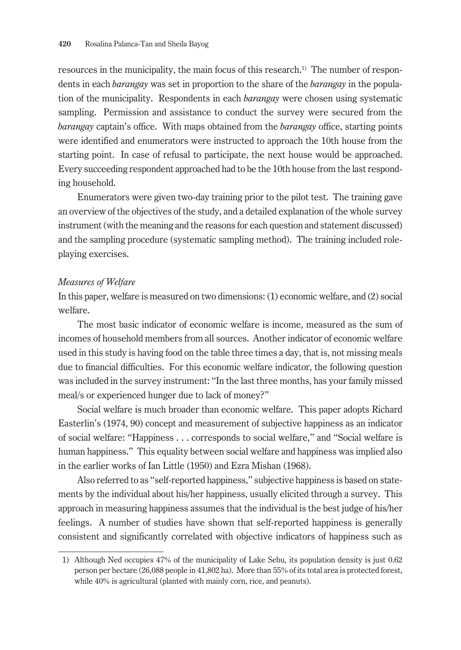resources in the municipality, the main focus of this research.1) The number of respondents in each *barangay* was set in proportion to the share of the *barangay* in the population of the municipality. Respondents in each *barangay* were chosen using systematic sampling. Permission and assistance to conduct the survey were secured from the *barangay* captain's office. With maps obtained from the *barangay* office, starting points were identified and enumerators were instructed to approach the 10th house from the starting point. In case of refusal to participate, the next house would be approached. Every succeeding respondent approached had to be the 10th house from the last responding household.

Enumerators were given two-day training prior to the pilot test. The training gave an overview of the objectives of the study, and a detailed explanation of the whole survey instrument (with the meaning and the reasons for each question and statement discussed) and the sampling procedure (systematic sampling method). The training included roleplaying exercises.

### *Measures of Welfare*

In this paper, welfare is measured on two dimensions: (1) economic welfare, and (2) social welfare.

The most basic indicator of economic welfare is income, measured as the sum of incomes of household members from all sources. Another indicator of economic welfare used in this study is having food on the table three times a day, that is, not missing meals due to financial difficulties. For this economic welfare indicator, the following question was included in the survey instrument: "In the last three months, has your family missed meal/s or experienced hunger due to lack of money?"

Social welfare is much broader than economic welfare. This paper adopts Richard Easterlin's (1974, 90) concept and measurement of subjective happiness as an indicator of social welfare: "Happiness . . . corresponds to social welfare," and "Social welfare is human happiness." This equality between social welfare and happiness was implied also in the earlier works of Ian Little (1950) and Ezra Mishan (1968).

Also referred to as "self-reported happiness," subjective happiness is based on statements by the individual about his/her happiness, usually elicited through a survey. This approach in measuring happiness assumes that the individual is the best judge of his/her feelings. A number of studies have shown that self-reported happiness is generally consistent and significantly correlated with objective indicators of happiness such as

<sup>1)</sup> Although Ned occupies 47% of the municipality of Lake Sebu, its population density is just 0.62 person per hectare (26,088 people in 41,802 ha). More than 55% of its total area is protected forest, while 40% is agricultural (planted with mainly corn, rice, and peanuts).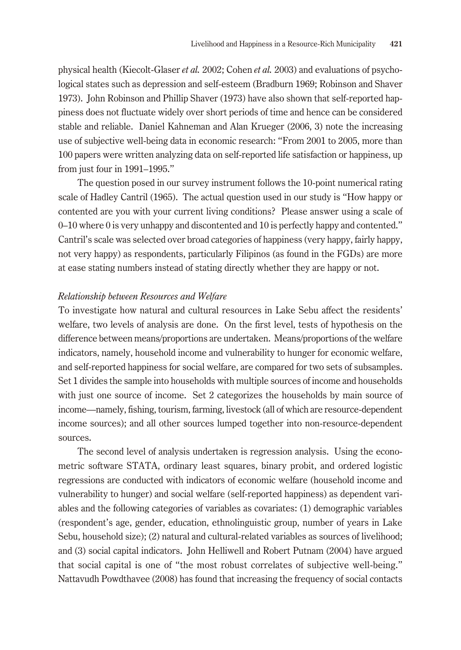physical health (Kiecolt-Glaser *et al.* 2002; Cohen *et al.* 2003) and evaluations of psychological states such as depression and self-esteem (Bradburn 1969; Robinson and Shaver 1973). John Robinson and Phillip Shaver (1973) have also shown that self-reported happiness does not fluctuate widely over short periods of time and hence can be considered stable and reliable. Daniel Kahneman and Alan Krueger (2006, 3) note the increasing use of subjective well-being data in economic research: "From 2001 to 2005, more than 100 papers were written analyzing data on self-reported life satisfaction or happiness, up from just four in 1991–1995."

The question posed in our survey instrument follows the 10-point numerical rating scale of Hadley Cantril (1965). The actual question used in our study is "How happy or contented are you with your current living conditions? Please answer using a scale of 0–10 where 0 is very unhappy and discontented and 10 is perfectly happy and contented." Cantril's scale was selected over broad categories of happiness (very happy, fairly happy, not very happy) as respondents, particularly Filipinos (as found in the FGDs) are more at ease stating numbers instead of stating directly whether they are happy or not.

#### *Relationship between Resources and Welfare*

To investigate how natural and cultural resources in Lake Sebu affect the residents' welfare, two levels of analysis are done. On the first level, tests of hypothesis on the difference between means/proportions are undertaken. Means/proportions of the welfare indicators, namely, household income and vulnerability to hunger for economic welfare, and self-reported happiness for social welfare, are compared for two sets of subsamples. Set 1 divides the sample into households with multiple sources of income and households with just one source of income. Set 2 categorizes the households by main source of income—namely, fishing, tourism, farming, livestock (all of which are resource-dependent income sources); and all other sources lumped together into non-resource-dependent sources.

The second level of analysis undertaken is regression analysis. Using the econometric software STATA, ordinary least squares, binary probit, and ordered logistic regressions are conducted with indicators of economic welfare (household income and vulnerability to hunger) and social welfare (self-reported happiness) as dependent variables and the following categories of variables as covariates: (1) demographic variables (respondent's age, gender, education, ethnolinguistic group, number of years in Lake Sebu, household size); (2) natural and cultural-related variables as sources of livelihood; and (3) social capital indicators. John Helliwell and Robert Putnam (2004) have argued that social capital is one of "the most robust correlates of subjective well-being." Nattavudh Powdthavee (2008) has found that increasing the frequency of social contacts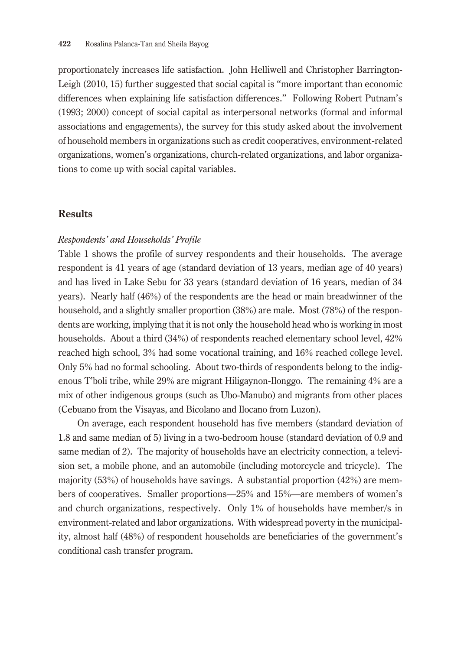proportionately increases life satisfaction. John Helliwell and Christopher Barrington-Leigh (2010, 15) further suggested that social capital is "more important than economic differences when explaining life satisfaction differences." Following Robert Putnam's (1993; 2000) concept of social capital as interpersonal networks (formal and informal associations and engagements), the survey for this study asked about the involvement of household members in organizations such as credit cooperatives, environment-related organizations, women's organizations, church-related organizations, and labor organizations to come up with social capital variables.

### **Results**

#### *Respondents' and Households' Profile*

Table 1 shows the profile of survey respondents and their households. The average respondent is 41 years of age (standard deviation of 13 years, median age of 40 years) and has lived in Lake Sebu for 33 years (standard deviation of 16 years, median of 34 years). Nearly half (46%) of the respondents are the head or main breadwinner of the household, and a slightly smaller proportion (38%) are male. Most (78%) of the respondents are working, implying that it is not only the household head who is working in most households. About a third (34%) of respondents reached elementary school level, 42% reached high school, 3% had some vocational training, and 16% reached college level. Only 5% had no formal schooling. About two-thirds of respondents belong to the indigenous T'boli tribe, while 29% are migrant Hiligaynon-Ilonggo. The remaining 4% are a mix of other indigenous groups (such as Ubo-Manubo) and migrants from other places (Cebuano from the Visayas, and Bicolano and Ilocano from Luzon).

On average, each respondent household has five members (standard deviation of 1.8 and same median of 5) living in a two-bedroom house (standard deviation of 0.9 and same median of 2). The majority of households have an electricity connection, a television set, a mobile phone, and an automobile (including motorcycle and tricycle). The majority (53%) of households have savings. A substantial proportion (42%) are members of cooperatives. Smaller proportions—25% and 15%—are members of women's and church organizations, respectively. Only 1% of households have member/s in environment-related and labor organizations. With widespread poverty in the municipality, almost half (48%) of respondent households are beneficiaries of the government's conditional cash transfer program.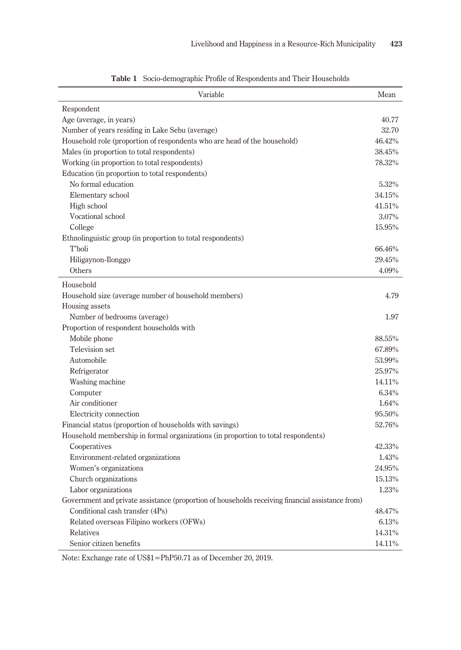| Variable                                                                                         | Mean   |
|--------------------------------------------------------------------------------------------------|--------|
| Respondent                                                                                       |        |
| Age (average, in years)                                                                          | 40.77  |
| Number of years residing in Lake Sebu (average)                                                  | 32.70  |
| Household role (proportion of respondents who are head of the household)                         | 46.42% |
| Males (in proportion to total respondents)                                                       | 38.45% |
| Working (in proportion to total respondents)                                                     | 78.32% |
| Education (in proportion to total respondents)                                                   |        |
| No formal education                                                                              | 5.32%  |
| Elementary school                                                                                | 34.15% |
| High school                                                                                      | 41.51% |
| Vocational school                                                                                | 3.07%  |
| College                                                                                          | 15.95% |
| Ethnolinguistic group (in proportion to total respondents)                                       |        |
| T'boli                                                                                           | 66.46% |
| Hiligaynon-Ilonggo                                                                               | 29.45% |
| Others                                                                                           | 4.09%  |
| Household                                                                                        |        |
| Household size (average number of household members)                                             | 4.79   |
| Housing assets                                                                                   |        |
| Number of bedrooms (average)                                                                     | 1.97   |
| Proportion of respondent households with                                                         |        |
| Mobile phone                                                                                     | 88.55% |
| Television set                                                                                   | 67.89% |
| Automobile                                                                                       | 53.99% |
| Refrigerator                                                                                     | 25.97% |
| Washing machine                                                                                  | 14.11% |
| Computer                                                                                         | 6.34%  |
| Air conditioner                                                                                  | 1.64%  |
| Electricity connection                                                                           | 95.50% |
| Financial status (proportion of households with savings)                                         | 52.76% |
| Household membership in formal organizations (in proportion to total respondents)                |        |
| Cooperatives                                                                                     | 42.33% |
| Environment-related organizations                                                                | 1.43%  |
| Women's organizations                                                                            | 24.95% |
| Church organizations                                                                             | 15.13% |
| Labor organizations                                                                              | 1.23%  |
| Government and private assistance (proportion of households receiving financial assistance from) |        |
| Conditional cash transfer (4Ps)                                                                  | 48.47% |
| Related overseas Filipino workers (OFWs)                                                         | 6.13%  |
| Relatives                                                                                        | 14.31% |
| Senior citizen benefits                                                                          | 14.11% |

**Table 1** Socio-demographic Profile of Respondents and Their Households

Note: Exchange rate of US\$1=PhP50.71 as of December 20, 2019.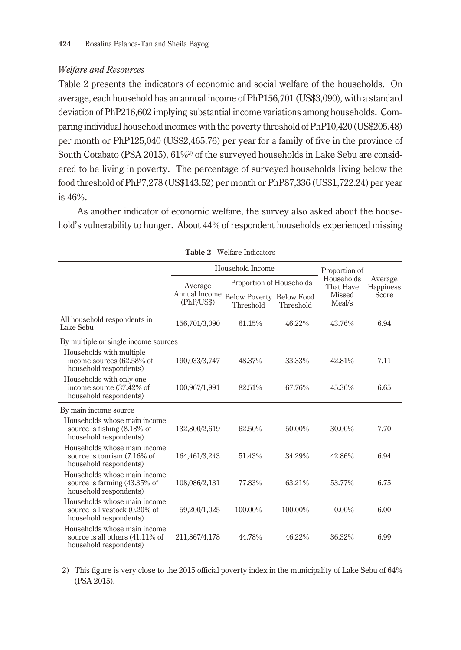# *Welfare and Resources*

Table 2 presents the indicators of economic and social welfare of the households. On average, each household has an annual income of PhP156,701 (US\$3,090), with a standard deviation of PhP216,602 implying substantial income variations among households. Comparing individual household incomes with the poverty threshold of PhP10,420 (US\$205.48) per month or PhP125,040 (US\$2,465.76) per year for a family of five in the province of South Cotabato (PSA 2015), 61%<sup>2</sup> of the surveyed households in Lake Sebu are considered to be living in poverty. The percentage of surveyed households living below the food threshold of PhP7,278 (US\$143.52) per month or PhP87,336 (US\$1,722.24) per year is 46%.

As another indicator of economic welfare, the survey also asked about the household's vulnerability to hunger. About 44% of respondent households experienced missing

|                                                                                           |                             | Household Income                             | Proportion of<br>Households<br>That Have | Average<br>Happiness |       |
|-------------------------------------------------------------------------------------------|-----------------------------|----------------------------------------------|------------------------------------------|----------------------|-------|
|                                                                                           | Average                     | Proportion of Households                     |                                          |                      |       |
|                                                                                           | Annual Income<br>(PhP/US\$) | <b>Below Poverty Below Food</b><br>Threshold | Threshold                                | Missed<br>Meal/s     | Score |
| All household respondents in<br>Lake Sebu                                                 | 156,701/3,090               | 61.15%                                       | 46.22%                                   | 43.76%               | 6.94  |
| By multiple or single income sources                                                      |                             |                                              |                                          |                      |       |
| Households with multiple<br>income sources (62.58% of<br>household respondents)           | 190,033/3,747               | 48.37%                                       | 33.33%                                   | 42.81%               | 7.11  |
| Households with only one<br>income source (37.42% of<br>household respondents)            | 100,967/1,991               | 82.51%                                       | 67.76%                                   | 45.36%               | 6.65  |
| By main income source                                                                     |                             |                                              |                                          |                      |       |
| Households whose main income<br>source is fishing (8.18% of<br>household respondents)     | 132,800/2,619               | 62.50%                                       | 50.00%                                   | 30.00%               | 7.70  |
| Households whose main income<br>source is tourism (7.16% of<br>household respondents)     | 164,461/3,243               | 51.43%                                       | 34.29%                                   | 42.86%               | 6.94  |
| Households whose main income<br>source is farming (43.35% of<br>household respondents)    | 108,086/2,131               | 77.83%                                       | 63.21%                                   | 53.77%               | 6.75  |
| Households whose main income<br>source is livestock (0.20% of<br>household respondents)   | 59,200/1,025                | 100.00%                                      | 100.00%                                  | $0.00\%$             | 6.00  |
| Households whose main income<br>source is all others (41.11% of<br>household respondents) | 211,867/4,178               | 44.78%                                       | 46.22%                                   | 36.32%               | 6.99  |

**Table 2** Welfare Indicators

2) This figure is very close to the 2015 official poverty index in the municipality of Lake Sebu of 64% (PSA 2015).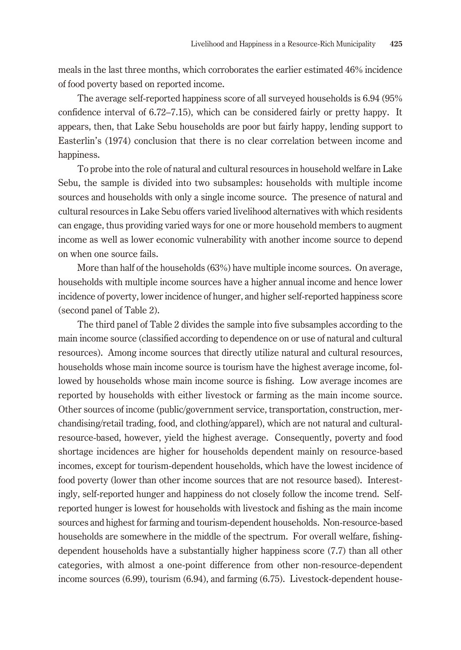meals in the last three months, which corroborates the earlier estimated 46% incidence of food poverty based on reported income.

The average self-reported happiness score of all surveyed households is 6.94 (95% confidence interval of 6.72–7.15), which can be considered fairly or pretty happy. It appears, then, that Lake Sebu households are poor but fairly happy, lending support to Easterlin's (1974) conclusion that there is no clear correlation between income and happiness.

To probe into the role of natural and cultural resources in household welfare in Lake Sebu, the sample is divided into two subsamples: households with multiple income sources and households with only a single income source. The presence of natural and cultural resources in Lake Sebu offers varied livelihood alternatives with which residents can engage, thus providing varied ways for one or more household members to augment income as well as lower economic vulnerability with another income source to depend on when one source fails.

More than half of the households (63%) have multiple income sources. On average, households with multiple income sources have a higher annual income and hence lower incidence of poverty, lower incidence of hunger, and higher self-reported happiness score (second panel of Table 2).

The third panel of Table 2 divides the sample into five subsamples according to the main income source (classified according to dependence on or use of natural and cultural resources). Among income sources that directly utilize natural and cultural resources, households whose main income source is tourism have the highest average income, followed by households whose main income source is fishing. Low average incomes are reported by households with either livestock or farming as the main income source. Other sources of income (public/government service, transportation, construction, merchandising/retail trading, food, and clothing/apparel), which are not natural and culturalresource-based, however, yield the highest average. Consequently, poverty and food shortage incidences are higher for households dependent mainly on resource-based incomes, except for tourism-dependent households, which have the lowest incidence of food poverty (lower than other income sources that are not resource based). Interestingly, self-reported hunger and happiness do not closely follow the income trend. Selfreported hunger is lowest for households with livestock and fishing as the main income sources and highest for farming and tourism-dependent households. Non-resource-based households are somewhere in the middle of the spectrum. For overall welfare, fishingdependent households have a substantially higher happiness score (7.7) than all other categories, with almost a one-point difference from other non-resource-dependent income sources (6.99), tourism (6.94), and farming (6.75). Livestock-dependent house-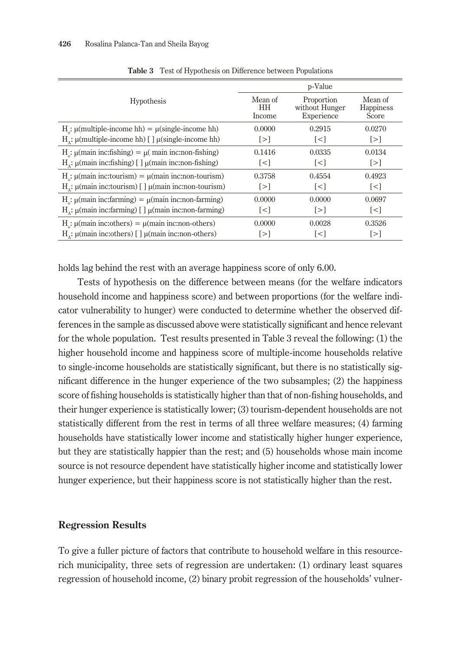|                                                               | p-Value                 |                                            |                               |  |
|---------------------------------------------------------------|-------------------------|--------------------------------------------|-------------------------------|--|
| <b>Hypothesis</b>                                             | Mean of<br>HH<br>Income | Proportion<br>without Hunger<br>Experience | Mean of<br>Happiness<br>Score |  |
| $H_c$ : $\mu$ (multiple-income hh) = $\mu$ (single-income hh) | 0.0000                  | 0.2915                                     | 0.0270                        |  |
| $H_a$ : µ(multiple-income hh) [] µ(single-income hh)          | $\lceil > \rceil$       | $\lceil$ < $\rceil$                        | $\lceil > \rceil$             |  |
| $Ho$ : μ(main inc:fishing) = μ( main inc:non-fishing)         | 0.1416                  | 0.0335                                     | 0.0134                        |  |
| $H_1$ : μ(main inc:fishing) [] μ(main inc:non-fishing)        | $\lceil$ < $\rceil$     | $\lceil$ < $\rceil$                        | $\lceil > \rceil$             |  |
| $Hα$ : μ(main inc:tourism) = μ(main inc:non-tourism)          | 0.3758                  | 0.4554                                     | 0.4923                        |  |
| $HA$ : μ(main inc:tourism) [] μ(main inc:non-tourism)         | $\lceil > \rceil$       | $\lceil$ < $\rceil$                        | $\lceil$ < $\rceil$           |  |
| $H$ : μ(main inc:farming) = μ(main inc:non-farming)           | 0.0000                  | 0.0000                                     | 0.0697                        |  |
| $H_1$ : μ(main inc:farming) [] μ(main inc:non-farming)        | $\lceil$ < $\rceil$     | $\lceil > \rceil$                          | $\lceil$ < $\rceil$           |  |
| $Ho$ : μ(main inc:others) = μ(main inc:non-others)            | 0.0000                  | 0.0028                                     | 0.3526                        |  |
| $Ha$ : μ(main inc:others) [] μ(main inc:non-others)           | $\lceil > \rceil$       | $\lceil$ < $\rceil$                        | [>]                           |  |

**Table 3** Test of Hypothesis on Difference between Populations

holds lag behind the rest with an average happiness score of only 6.00.

Tests of hypothesis on the difference between means (for the welfare indicators household income and happiness score) and between proportions (for the welfare indicator vulnerability to hunger) were conducted to determine whether the observed differences in the sample as discussed above were statistically significant and hence relevant for the whole population. Test results presented in Table 3 reveal the following: (1) the higher household income and happiness score of multiple-income households relative to single-income households are statistically significant, but there is no statistically significant difference in the hunger experience of the two subsamples; (2) the happiness score of fishing households is statistically higher than that of non-fishing households, and their hunger experience is statistically lower; (3) tourism-dependent households are not statistically different from the rest in terms of all three welfare measures; (4) farming households have statistically lower income and statistically higher hunger experience, but they are statistically happier than the rest; and (5) households whose main income source is not resource dependent have statistically higher income and statistically lower hunger experience, but their happiness score is not statistically higher than the rest.

# **Regression Results**

To give a fuller picture of factors that contribute to household welfare in this resourcerich municipality, three sets of regression are undertaken: (1) ordinary least squares regression of household income, (2) binary probit regression of the households' vulner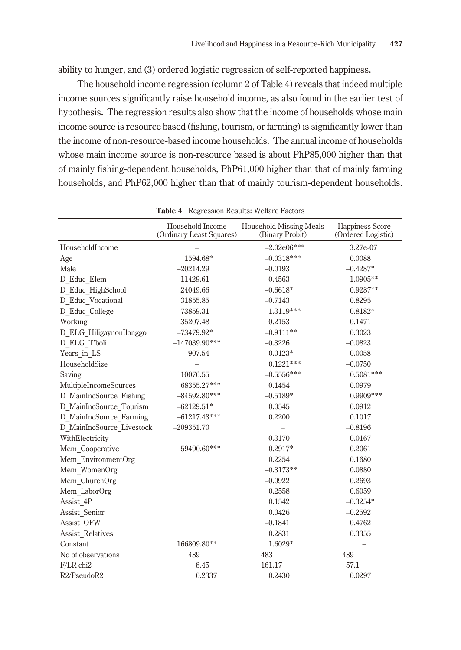ability to hunger, and (3) ordered logistic regression of self-reported happiness.

The household income regression (column 2 of Table 4) reveals that indeed multiple income sources significantly raise household income, as also found in the earlier test of hypothesis. The regression results also show that the income of households whose main income source is resource based (fishing, tourism, or farming) is significantly lower than the income of non-resource-based income households. The annual income of households whose main income source is non-resource based is about PhP85,000 higher than that of mainly fishing-dependent households, PhP61,000 higher than that of mainly farming households, and PhP62,000 higher than that of mainly tourism-dependent households.

|                           | Household Income<br>(Ordinary Least Squares) | <b>Household Missing Meals</b><br>(Binary Probit) | Happiness Score<br>(Ordered Logistic) |
|---------------------------|----------------------------------------------|---------------------------------------------------|---------------------------------------|
| HouseholdIncome           |                                              | $-2.02e06***$                                     | 3.27e-07                              |
| Age                       | 1594.68*                                     | $-0.0318***$                                      | 0.0088                                |
| Male                      | $-20214.29$                                  | $-0.0193$                                         | $-0.4287*$                            |
| D Educ Elem               | $-11429.61$                                  | $-0.4563$                                         | 1.0905**                              |
| D Educ_HighSchool         | 24049.66                                     | $-0.6618*$                                        | $0.9287**$                            |
| D Educ Vocational         | 31855.85                                     | $-0.7143$                                         | 0.8295                                |
| D Educ College            | 73859.31                                     | $-1.3119***$                                      | $0.8182*$                             |
| Working                   | 35207.48                                     | 0.2153                                            | 0.1471                                |
| D ELG HiligaynonIlonggo   | $-73479.92*$                                 | $-0.9111**$                                       | 0.3023                                |
| D ELG T'boli              | $-147039.90***$                              | $-0.3226$                                         | $-0.0823$                             |
| Years in LS               | $-907.54$                                    | $0.0123*$                                         | $-0.0058$                             |
| HouseholdSize             |                                              | $0.1221***$                                       | $-0.0750$                             |
| Saving                    | 10076.55                                     | $-0.5556***$                                      | $0.5081***$                           |
| MultipleIncomeSources     | 68355.27***                                  | 0.1454                                            | 0.0979                                |
| D MainIncSource_Fishing   | $-84592.80***$                               | $-0.5189*$                                        | $0.9909***$                           |
| D MainIncSource Tourism   | $-62129.51*$                                 | 0.0545                                            | 0.0912                                |
| D MainIncSource Farming   | $-61217.43***$                               | 0.2200                                            | 0.1017                                |
| D MainIncSource Livestock | $-209351.70$                                 |                                                   | $-0.8196$                             |
| WithElectricity           |                                              | $-0.3170$                                         | 0.0167                                |
| Mem Cooperative           | 59490.60***                                  | $0.2917*$                                         | 0.2061                                |
| Mem EnvironmentOrg        |                                              | 0.2254                                            | 0.1680                                |
| Mem WomenOrg              |                                              | $-0.3173**$                                       | 0.0880                                |
| Mem ChurchOrg             |                                              | $-0.0922$                                         | 0.2693                                |
| Mem LaborOrg              |                                              | 0.2558                                            | 0.6059                                |
| Assist 4P                 |                                              | 0.1542                                            | $-0.3254*$                            |
| Assist Senior             |                                              | 0.0426                                            | $-0.2592$                             |
| Assist OFW                |                                              | $-0.1841$                                         | 0.4762                                |
| <b>Assist Relatives</b>   |                                              | 0.2831                                            | 0.3355                                |
| Constant                  | 166809.80**                                  | 1.6029*                                           |                                       |
| No of observations        | 489                                          | 483                                               | 489                                   |
| F/LR chi2                 | 8.45                                         | 161.17                                            | 57.1                                  |
| R2/PseudoR2               | 0.2337                                       | 0.2430                                            | 0.0297                                |

**Table 4** Regression Results: Welfare Factors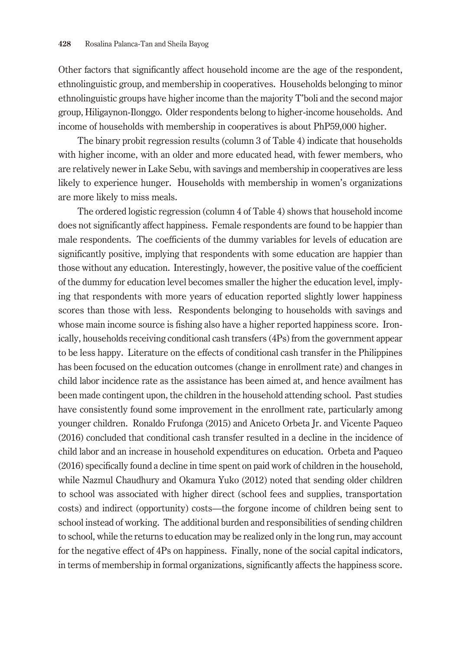Other factors that significantly affect household income are the age of the respondent, ethnolinguistic group, and membership in cooperatives. Households belonging to minor ethnolinguistic groups have higher income than the majority T'boli and the second major group, Hiligaynon-Ilonggo. Older respondents belong to higher-income households. And income of households with membership in cooperatives is about PhP59,000 higher.

The binary probit regression results (column 3 of Table 4) indicate that households with higher income, with an older and more educated head, with fewer members, who are relatively newer in Lake Sebu, with savings and membership in cooperatives are less likely to experience hunger. Households with membership in women's organizations are more likely to miss meals.

The ordered logistic regression (column 4 of Table 4) shows that household income does not significantly affect happiness. Female respondents are found to be happier than male respondents. The coefficients of the dummy variables for levels of education are significantly positive, implying that respondents with some education are happier than those without any education. Interestingly, however, the positive value of the coefficient of the dummy for education level becomes smaller the higher the education level, implying that respondents with more years of education reported slightly lower happiness scores than those with less. Respondents belonging to households with savings and whose main income source is fishing also have a higher reported happiness score. Ironically, households receiving conditional cash transfers (4Ps) from the government appear to be less happy. Literature on the effects of conditional cash transfer in the Philippines has been focused on the education outcomes (change in enrollment rate) and changes in child labor incidence rate as the assistance has been aimed at, and hence availment has been made contingent upon, the children in the household attending school. Past studies have consistently found some improvement in the enrollment rate, particularly among younger children. Ronaldo Frufonga (2015) and Aniceto Orbeta Jr. and Vicente Paqueo (2016) concluded that conditional cash transfer resulted in a decline in the incidence of child labor and an increase in household expenditures on education. Orbeta and Paqueo (2016) specifically found a decline in time spent on paid work of children in the household, while Nazmul Chaudhury and Okamura Yuko (2012) noted that sending older children to school was associated with higher direct (school fees and supplies, transportation costs) and indirect (opportunity) costs—the forgone income of children being sent to school instead of working. The additional burden and responsibilities of sending children to school, while the returns to education may be realized only in the long run, may account for the negative effect of 4Ps on happiness. Finally, none of the social capital indicators, in terms of membership in formal organizations, significantly affects the happiness score.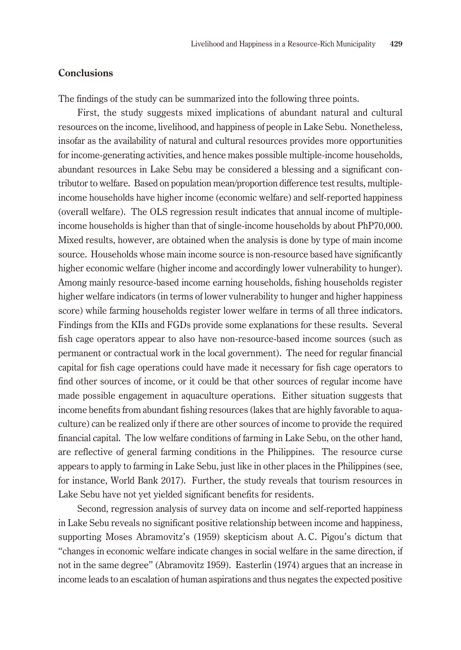# **Conclusions**

The findings of the study can be summarized into the following three points.

First, the study suggests mixed implications of abundant natural and cultural resources on the income, livelihood, and happiness of people in Lake Sebu. Nonetheless, insofar as the availability of natural and cultural resources provides more opportunities for income-generating activities, and hence makes possible multiple-income households, abundant resources in Lake Sebu may be considered a blessing and a significant contributor to welfare. Based on population mean/proportion difference test results, multipleincome households have higher income (economic welfare) and self-reported happiness (overall welfare). The OLS regression result indicates that annual income of multipleincome households is higher than that of single-income households by about PhP70,000. Mixed results, however, are obtained when the analysis is done by type of main income source. Households whose main income source is non-resource based have significantly higher economic welfare (higher income and accordingly lower vulnerability to hunger). Among mainly resource-based income earning households, fishing households register higher welfare indicators (in terms of lower vulnerability to hunger and higher happiness score) while farming households register lower welfare in terms of all three indicators. Findings from the KIIs and FGDs provide some explanations for these results. Several fish cage operators appear to also have non-resource-based income sources (such as permanent or contractual work in the local government). The need for regular financial capital for fish cage operations could have made it necessary for fish cage operators to find other sources of income, or it could be that other sources of regular income have made possible engagement in aquaculture operations. Either situation suggests that income benefits from abundant fishing resources (lakes that are highly favorable to aquaculture) can be realized only if there are other sources of income to provide the required financial capital. The low welfare conditions of farming in Lake Sebu, on the other hand, are reflective of general farming conditions in the Philippines. The resource curse appears to apply to farming in Lake Sebu, just like in other places in the Philippines (see, for instance, World Bank 2017). Further, the study reveals that tourism resources in Lake Sebu have not yet yielded significant benefits for residents.

Second, regression analysis of survey data on income and self-reported happiness in Lake Sebu reveals no significant positive relationship between income and happiness, supporting Moses Abramovitz's (1959) skepticism about A. C. Pigou's dictum that "changes in economic welfare indicate changes in social welfare in the same direction, if not in the same degree" (Abramovitz 1959). Easterlin (1974) argues that an increase in income leads to an escalation of human aspirations and thus negates the expected positive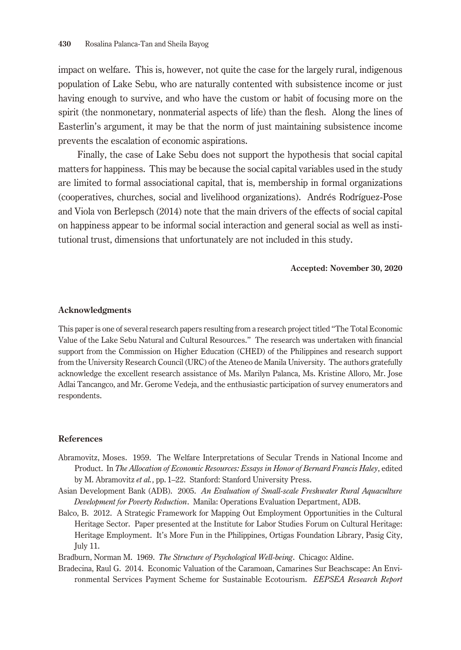impact on welfare. This is, however, not quite the case for the largely rural, indigenous population of Lake Sebu, who are naturally contented with subsistence income or just having enough to survive, and who have the custom or habit of focusing more on the spirit (the nonmonetary, nonmaterial aspects of life) than the flesh. Along the lines of Easterlin's argument, it may be that the norm of just maintaining subsistence income prevents the escalation of economic aspirations.

Finally, the case of Lake Sebu does not support the hypothesis that social capital matters for happiness. This may be because the social capital variables used in the study are limited to formal associational capital, that is, membership in formal organizations (cooperatives, churches, social and livelihood organizations). Andrés Rodríguez-Pose and Viola von Berlepsch (2014) note that the main drivers of the effects of social capital on happiness appear to be informal social interaction and general social as well as institutional trust, dimensions that unfortunately are not included in this study.

#### **Accepted: November 30, 2020**

#### **Acknowledgments**

This paper is one of several research papers resulting from a research project titled "The Total Economic Value of the Lake Sebu Natural and Cultural Resources." The research was undertaken with financial support from the Commission on Higher Education (CHED) of the Philippines and research support from the University Research Council (URC) of the Ateneo de Manila University. The authors gratefully acknowledge the excellent research assistance of Ms. Marilyn Palanca, Ms. Kristine Alloro, Mr. Jose Adlai Tancangco, and Mr. Gerome Vedeja, and the enthusiastic participation of survey enumerators and respondents.

#### **References**

- Abramovitz, Moses. 1959. The Welfare Interpretations of Secular Trends in National Income and Product. In *The Allocation of Economic Resources: Essays in Honor of Bernard Francis Haley*, edited by M. Abramovitz *et al.*, pp. 1–22. Stanford: Stanford University Press.
- Asian Development Bank (ADB). 2005. *An Evaluation of Small-scale Freshwater Rural Aquaculture Development for Poverty Reduction*. Manila: Operations Evaluation Department, ADB.
- Balco, B. 2012. A Strategic Framework for Mapping Out Employment Opportunities in the Cultural Heritage Sector. Paper presented at the Institute for Labor Studies Forum on Cultural Heritage: Heritage Employment. It's More Fun in the Philippines, Ortigas Foundation Library, Pasig City, July 11.

Bradburn, Norman M. 1969. *The Structure of Psychological Well-being*. Chicago: Aldine.

Bradecina, Raul G. 2014. Economic Valuation of the Caramoan, Camarines Sur Beachscape: An Environmental Services Payment Scheme for Sustainable Ecotourism. *EEPSEA Research Report*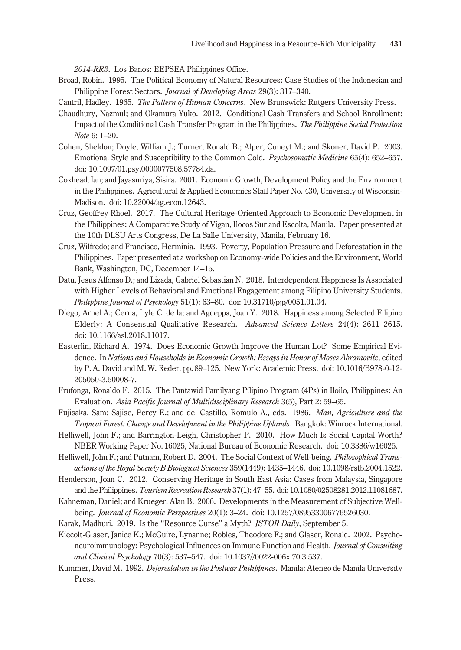*2014-RR3*. Los Banos: EEPSEA Philippines Office.

- Broad, Robin. 1995. The Political Economy of Natural Resources: Case Studies of the Indonesian and Philippine Forest Sectors. *Journal of Developing Areas* 29(3): 317–340.
- Cantril, Hadley. 1965. *The Pattern of Human Concerns*. New Brunswick: Rutgers University Press.
- Chaudhury, Nazmul; and Okamura Yuko. 2012. Conditional Cash Transfers and School Enrollment: Impact of the Conditional Cash Transfer Program in the Philippines. *The Philippine Social Protection Note* 6: 1–20.
- Cohen, Sheldon; Doyle, William J.; Turner, Ronald B.; Alper, Cuneyt M.; and Skoner, David P. 2003. Emotional Style and Susceptibility to the Common Cold. *Psychosomatic Medicine* 65(4): 652–657. doi: 10.1097/01.psy.0000077508.57784.da.
- Coxhead, Ian; and Jayasuriya, Sisira. 2001. Economic Growth, Development Policy and the Environment in the Philippines. Agricultural & Applied Economics Staff Paper No. 430, University of Wisconsin-Madison. doi: 10.22004/ag.econ.12643.
- Cruz, Geoffrey Rhoel. 2017. The Cultural Heritage-Oriented Approach to Economic Development in the Philippines: A Comparative Study of Vigan, Ilocos Sur and Escolta, Manila. Paper presented at the 10th DLSU Arts Congress, De La Salle University, Manila, February 16.
- Cruz, Wilfredo; and Francisco, Herminia. 1993. Poverty, Population Pressure and Deforestation in the Philippines. Paper presented at a workshop on Economy-wide Policies and the Environment, World Bank, Washington, DC, December 14–15.
- Datu, Jesus Alfonso D.; and Lizada, Gabriel Sebastian N. 2018. Interdependent Happiness Is Associated with Higher Levels of Behavioral and Emotional Engagement among Filipino University Students. *Philippine Journal of Psychology* 51(1): 63–80. doi: 10.31710/pjp/0051.01.04.
- Diego, Arnel A.; Cerna, Lyle C. de la; and Agdeppa, Joan Y. 2018. Happiness among Selected Filipino Elderly: A Consensual Qualitative Research. *Advanced Science Letters* 24(4): 2611–2615. doi: 10.1166/asl.2018.11017.
- Easterlin, Richard A. 1974. Does Economic Growth Improve the Human Lot? Some Empirical Evidence. In *Nations and Households in Economic Growth: Essays in Honor of Moses Abramovitz*, edited by P. A. David and M. W. Reder, pp. 89–125. New York: Academic Press. doi: 10.1016/B978-0-12- 205050-3.50008-7.
- Frufonga, Ronaldo F. 2015. The Pantawid Pamilyang Pilipino Program (4Ps) in Iloilo, Philippines: An Evaluation. *Asia Pacific Journal of Multidisciplinary Research* 3(5), Part 2: 59–65.
- Fujisaka, Sam; Sajise, Percy E.; and del Castillo, Romulo A., eds. 1986. *Man, Agriculture and the Tropical Forest: Change and Development in the Philippine Uplands*. Bangkok: Winrock International.
- Helliwell, John F.; and Barrington-Leigh, Christopher P. 2010. How Much Is Social Capital Worth? NBER Working Paper No. 16025, National Bureau of Economic Research. doi: 10.3386/w16025.
- Helliwell, John F.; and Putnam, Robert D. 2004. The Social Context of Well-being. *Philosophical Transactions of the Royal Society B Biological Sciences* 359(1449): 1435–1446. doi: 10.1098/rstb.2004.1522.
- Henderson, Joan C. 2012. Conserving Heritage in South East Asia: Cases from Malaysia, Singapore and the Philippines. *Tourism Recreation Research* 37(1): 47–55. doi: 10.1080/02508281.2012.11081687.
- Kahneman, Daniel; and Krueger, Alan B. 2006. Developments in the Measurement of Subjective Wellbeing. *Journal of Economic Perspectives* 20(1): 3–24. doi: 10.1257/089533006776526030.
- Karak, Madhuri. 2019. Is the "Resource Curse" a Myth? *JSTOR Daily*, September 5.

Kiecolt-Glaser, Janice K.; McGuire, Lynanne; Robles, Theodore F.; and Glaser, Ronald. 2002. Psychoneuroimmunology: Psychological Influences on Immune Function and Health. *Journal of Consulting and Clinical Psychology* 70(3): 537–547. doi: 10.1037//0022-006x.70.3.537.

Kummer, David M. 1992. *Deforestation in the Postwar Philippines*. Manila: Ateneo de Manila University Press.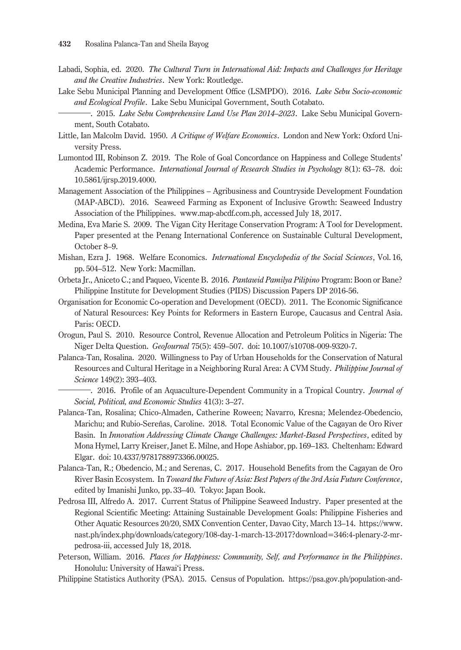- Labadi, Sophia, ed. 2020. *The Cultural Turn in International Aid: Impacts and Challenges for Heritage and the Creative Industries*. New York: Routledge.
- Lake Sebu Municipal Planning and Development Office (LSMPDO). 2016. *Lake Sebu Socio-economic and Ecological Profile*. Lake Sebu Municipal Government, South Cotabato.
- ―. 2015. *Lake Sebu Comprehensive Land Use Plan 2014–2023*. Lake Sebu Municipal Government, South Cotabato.
- Little, Ian Malcolm David. 1950. *A Critique of Welfare Economics*. London and New York: Oxford University Press.
- Lumontod III, Robinson Z. 2019. The Role of Goal Concordance on Happiness and College Students' Academic Performance. *International Journal of Research Studies in Psychology* 8(1): 63–78. doi: 10.5861/ijrsp.2019.4000.
- Management Association of the Philippines Agribusiness and Countryside Development Foundation (MAP-ABCD). 2016. Seaweed Farming as Exponent of Inclusive Growth: Seaweed Industry Association of the Philippines. www.map-abcdf.com.ph, accessed July 18, 2017.
- Medina, Eva Marie S. 2009. The Vigan City Heritage Conservation Program: A Tool for Development. Paper presented at the Penang International Conference on Sustainable Cultural Development, October 8–9.
- Mishan, Ezra J. 1968. Welfare Economics. *International Encyclopedia of the Social Sciences*, Vol. 16, pp. 504–512. New York: Macmillan.
- Orbeta Jr., Aniceto C.; and Paqueo, Vicente B. 2016. *Pantawid Pamilya Pilipino* Program: Boon or Bane? Philippine Institute for Development Studies (PIDS) Discussion Papers DP 2016-56.
- Organisation for Economic Co-operation and Development (OECD). 2011. The Economic Significance of Natural Resources: Key Points for Reformers in Eastern Europe, Caucasus and Central Asia. Paris: OECD.
- Orogun, Paul S. 2010. Resource Control, Revenue Allocation and Petroleum Politics in Nigeria: The Niger Delta Question. *GeoJournal* 75(5): 459–507. doi: 10.1007/s10708-009-9320-7.
- Palanca-Tan, Rosalina. 2020. Willingness to Pay of Urban Households for the Conservation of Natural Resources and Cultural Heritage in a Neighboring Rural Area: A CVM Study. *Philippine Journal of Science* 149(2): 393–403.
	- ―. 2016. Profile of an Aquaculture-Dependent Community in a Tropical Country. *Journal of Social, Political, and Economic Studies* 41(3): 3–27.
- Palanca-Tan, Rosalina; Chico-Almaden, Catherine Roween; Navarro, Kresna; Melendez-Obedencio, Marichu; and Rubio-Sereñas, Caroline. 2018. Total Economic Value of the Cagayan de Oro River Basin. In *Innovation Addressing Climate Change Challenges: Market-Based Perspectives*, edited by Mona Hymel, Larry Kreiser, Janet E. Milne, and Hope Ashiabor, pp. 169–183. Cheltenham: Edward Elgar. doi: 10.4337/9781788973366.00025.
- Palanca-Tan, R.; Obedencio, M.; and Serenas, C. 2017. Household Benefits from the Cagayan de Oro River Basin Ecosystem. In *Toward the Future of Asia: Best Papers of the 3rd Asia Future Conference*, edited by Imanishi Junko, pp. 33–40. Tokyo: Japan Book.
- Pedrosa III, Alfredo A. 2017. Current Status of Philippine Seaweed Industry. Paper presented at the Regional Scientific Meeting: Attaining Sustainable Development Goals: Philippine Fisheries and Other Aquatic Resources 20/20, SMX Convention Center, Davao City, March 13–14. https://www. nast.ph/index.php/downloads/category/108-day-1-march-13-2017?download=346:4-plenary-2-mrpedrosa-iii, accessed July 18, 2018.
- Peterson, William. 2016. *Places for Happiness: Community, Self, and Performance in the Philippines*. Honolulu: University of Hawai'i Press.
- Philippine Statistics Authority (PSA). 2015. Census of Population. https://psa.gov.ph/population-and-